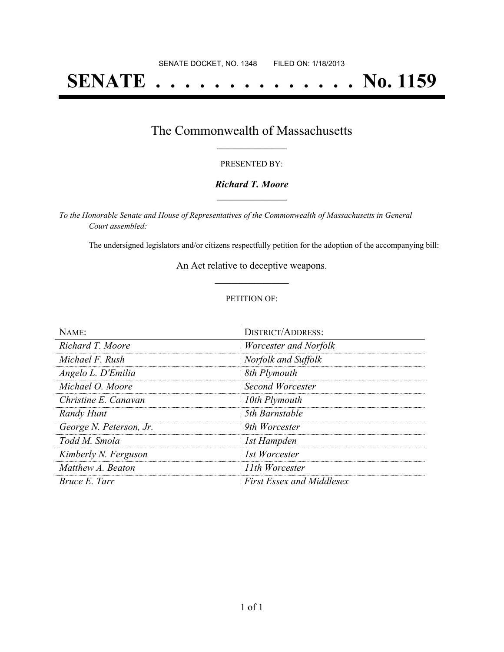# **SENATE . . . . . . . . . . . . . . No. 1159**

## The Commonwealth of Massachusetts **\_\_\_\_\_\_\_\_\_\_\_\_\_\_\_\_\_**

#### PRESENTED BY:

#### *Richard T. Moore* **\_\_\_\_\_\_\_\_\_\_\_\_\_\_\_\_\_**

*To the Honorable Senate and House of Representatives of the Commonwealth of Massachusetts in General Court assembled:*

The undersigned legislators and/or citizens respectfully petition for the adoption of the accompanying bill:

An Act relative to deceptive weapons. **\_\_\_\_\_\_\_\_\_\_\_\_\_\_\_**

#### PETITION OF:

| NAME:                   | <b>DISTRICT/ADDRESS:</b>         |
|-------------------------|----------------------------------|
| Richard T. Moore        | <i>Worcester and Norfolk</i>     |
| Michael F. Rush         | Norfolk and Suffolk              |
| Angelo L. D'Emilia      | 8th Plymouth                     |
| Michael O. Moore        | Second Worcester                 |
| Christine E. Canavan    | 10th Plymouth                    |
| Randy Hunt              | 5th Barnstable                   |
| George N. Peterson, Jr. | 9th Worcester                    |
| Todd M. Smola           | 1st Hampden                      |
| Kimberly N. Ferguson    | 1st Worcester                    |
| Matthew A. Beaton       | 11th Worcester                   |
| Bruce E. Tarr           | <b>First Essex and Middlesex</b> |